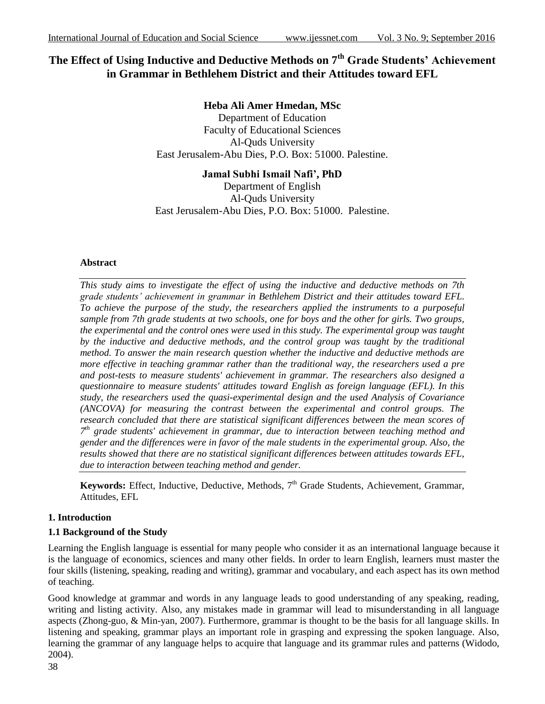# **The Effect of Using Inductive and Deductive Methods on 7th Grade Students' Achievement in Grammar in Bethlehem District and their Attitudes toward EFL**

**Heba Ali Amer Hmedan, MSc** Department of Education Faculty of Educational Sciences Al-Quds University East Jerusalem-Abu Dies, P.O. Box: 51000. Palestine.

**Jamal Subhi Ismail Nafi', PhD** Department of English Al-Quds University East Jerusalem-Abu Dies, P.O. Box: 51000. Palestine.

## **Abstract**

*This study aims to investigate the effect of using the inductive and deductive methods on 7th grade students' achievement in grammar in Bethlehem District and their attitudes toward EFL. To achieve the purpose of the study, the researchers applied the instruments to a purposeful sample from 7th grade students at two schools, one for boys and the other for girls. Two groups, the experimental and the control ones were used in this study. The experimental group was taught by the inductive and deductive methods, and the control group was taught by the traditional method. To answer the main research question whether the inductive and deductive methods are more effective in teaching grammar rather than the traditional way, the researchers used a pre and post-tests to measure students' achievement in grammar. The researchers also designed a questionnaire to measure students' attitudes toward English as foreign language (EFL). In this study, the researchers used the quasi-experimental design and the used Analysis of Covariance (ANCOVA) for measuring the contrast between the experimental and control groups. The research concluded that there are statistical significant differences between the mean scores of 7 th grade students' achievement in grammar, due to interaction between teaching method and gender and the differences were in favor of the male students in the experimental group. Also, the results showed that there are no statistical significant differences between attitudes towards EFL, due to interaction between teaching method and gender.* 

Keywords: Effect, Inductive, Deductive, Methods, 7<sup>th</sup> Grade Students, Achievement, Grammar, Attitudes, EFL

# **1. Introduction**

# **1.1 Background of the Study**

Learning the English language is essential for many people who consider it as an international language because it is the language of economics, sciences and many other fields. In order to learn English, learners must master the four skills (listening, speaking, reading and writing), grammar and vocabulary, and each aspect has its own method of teaching.

Good knowledge at grammar and words in any language leads to good understanding of any speaking, reading, writing and listing activity. Also, any mistakes made in grammar will lead to misunderstanding in all language aspects (Zhong-guo, & Min-yan, 2007). Furthermore, grammar is thought to be the basis for all language skills. In listening and speaking, grammar plays an important role in grasping and expressing the spoken language. Also, learning the grammar of any language helps to acquire that language and its grammar rules and patterns (Widodo, 2004).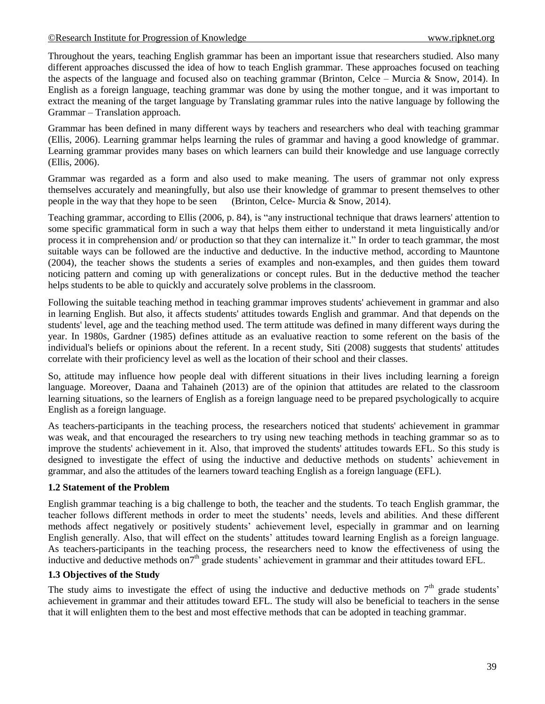#### [©Research Institute for Progression of Knowledge www.ripknet.org](http://www.ripknet.org/)

Throughout the years, teaching English grammar has been an important issue that researchers studied. Also many different approaches discussed the idea of how to teach English grammar. These approaches focused on teaching the aspects of the language and focused also on teaching grammar (Brinton, Celce – Murcia & Snow, 2014). In English as a foreign language, teaching grammar was done by using the mother tongue, and it was important to extract the meaning of the target language by Translating grammar rules into the native language by following the Grammar – Translation approach.

Grammar has been defined in many different ways by teachers and researchers who deal with teaching grammar (Ellis, 2006). Learning grammar helps learning the rules of grammar and having a good knowledge of grammar. Learning grammar provides many bases on which learners can build their knowledge and use language correctly (Ellis, 2006).

Grammar was regarded as a form and also used to make meaning. The users of grammar not only express themselves accurately and meaningfully, but also use their knowledge of grammar to present themselves to other people in the way that they hope to be seen (Brinton, Celce- Murcia & Snow, 2014).

Teaching grammar, according to Ellis (2006, p. 84), is "any instructional technique that draws learners' attention to some specific grammatical form in such a way that helps them either to understand it meta linguistically and/or process it in comprehension and/ or production so that they can internalize it." In order to teach grammar, the most suitable ways can be followed are the inductive and deductive. In the inductive method, according to Mauntone (2004), the teacher shows the students a series of examples and non-examples, and then guides them toward noticing pattern and coming up with generalizations or concept rules. But in the deductive method the teacher helps students to be able to quickly and accurately solve problems in the classroom.

Following the suitable teaching method in teaching grammar improves students' achievement in grammar and also in learning English. But also, it affects students' attitudes towards English and grammar. And that depends on the students' level, age and the teaching method used. The term attitude was defined in many different ways during the year. In 1980s, Gardner (1985) defines attitude as an evaluative reaction to some referent on the basis of the individual's beliefs or opinions about the referent. In a recent study, Siti (2008) suggests that students' attitudes correlate with their proficiency level as well as the location of their school and their classes.

So, attitude may influence how people deal with different situations in their lives including learning a foreign language. Moreover, Daana and Tahaineh (2013) are of the opinion that attitudes are related to the classroom learning situations, so the learners of English as a foreign language need to be prepared psychologically to acquire English as a foreign language.

As teachers-participants in the teaching process, the researchers noticed that students' achievement in grammar was weak, and that encouraged the researchers to try using new teaching methods in teaching grammar so as to improve the students' achievement in it. Also, that improved the students' attitudes towards EFL. So this study is designed to investigate the effect of using the inductive and deductive methods on students' achievement in grammar, and also the attitudes of the learners toward teaching English as a foreign language (EFL).

## **1.2 Statement of the Problem**

English grammar teaching is a big challenge to both, the teacher and the students. To teach English grammar, the teacher follows different methods in order to meet the students' needs, levels and abilities. And these different methods affect negatively or positively students' achievement level, especially in grammar and on learning English generally. Also, that will effect on the students' attitudes toward learning English as a foreign language. As teachers-participants in the teaching process, the researchers need to know the effectiveness of using the inductive and deductive methods on<sup>7th</sup> grade students' achievement in grammar and their attitudes toward EFL.

# **1.3 Objectives of the Study**

The study aims to investigate the effect of using the inductive and deductive methods on  $7<sup>th</sup>$  grade students' achievement in grammar and their attitudes toward EFL. The study will also be beneficial to teachers in the sense that it will enlighten them to the best and most effective methods that can be adopted in teaching grammar.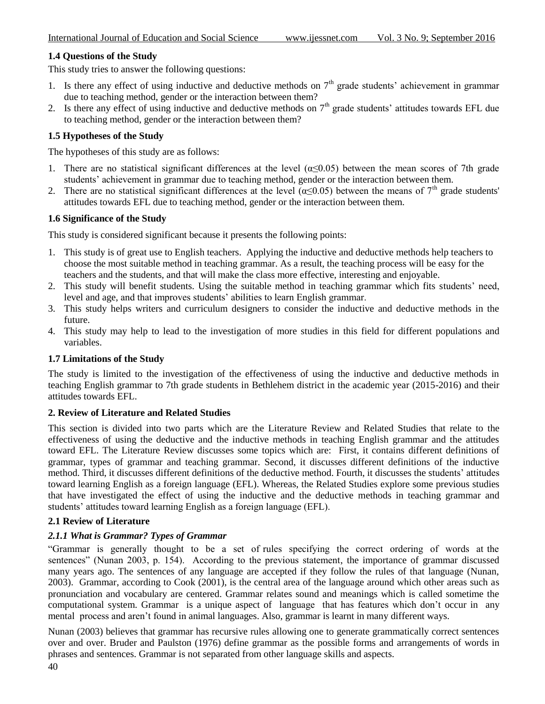# **1.4 Questions of the Study**

This study tries to answer the following questions:

- 1. Is there any effect of using inductive and deductive methods on  $7<sup>th</sup>$  grade students' achievement in grammar due to teaching method, gender or the interaction between them?
- 2. Is there any effect of using inductive and deductive methods on  $7<sup>th</sup>$  grade students' attitudes towards EFL due to teaching method, gender or the interaction between them?

## **1.5 Hypotheses of the Study**

The hypotheses of this study are as follows:

- 1. There are no statistical significant differences at the level  $(\alpha \leq 0.05)$  between the mean scores of 7th grade students' achievement in grammar due to teaching method, gender or the interaction between them.
- 2. There are no statistical significant differences at the level  $(a\leq 0.05)$  between the means of 7<sup>th</sup> grade students' attitudes towards EFL due to teaching method, gender or the interaction between them.

## **1.6 Significance of the Study**

This study is considered significant because it presents the following points:

- 1. This study is of great use to English teachers. Applying the inductive and deductive methods help teachers to choose the most suitable method in teaching grammar. As a result, the teaching process will be easy for the teachers and the students, and that will make the class more effective, interesting and enjoyable.
- 2. This study will benefit students. Using the suitable method in teaching grammar which fits students' need, level and age, and that improves students' abilities to learn English grammar.
- 3. This study helps writers and curriculum designers to consider the inductive and deductive methods in the future.
- 4. This study may help to lead to the investigation of more studies in this field for different populations and variables.

## **1.7 Limitations of the Study**

The study is limited to the investigation of the effectiveness of using the inductive and deductive methods in teaching English grammar to 7th grade students in Bethlehem district in the academic year (2015-2016) and their attitudes towards EFL.

## **2. Review of Literature and Related Studies**

This section is divided into two parts which are the Literature Review and Related Studies that relate to the effectiveness of using the deductive and the inductive methods in teaching English grammar and the attitudes toward EFL. The Literature Review discusses some topics which are: First, it contains different definitions of grammar, types of grammar and teaching grammar. Second, it discusses different definitions of the inductive method. Third, it discusses different definitions of the deductive method. Fourth, it discusses the students' attitudes toward learning English as a foreign language (EFL). Whereas, the Related Studies explore some previous studies that have investigated the effect of using the inductive and the deductive methods in teaching grammar and students' attitudes toward learning English as a foreign language (EFL).

## **2.1 Review of Literature**

# *2.1.1 What is Grammar? Types of Grammar*

"Grammar is generally thought to be a set of rules specifying the correct ordering of words at the sentences" (Nunan 2003, p. 154). According to the previous statement, the importance of grammar discussed many years ago. The sentences of any language are accepted if they follow the rules of that language (Nunan, 2003). Grammar, according to Cook (2001), is the central area of the language around which other areas such as pronunciation and vocabulary are centered. Grammar relates sound and meanings which is called sometime the computational system. Grammar is a unique aspect of language that has features which don't occur in any mental process and aren't found in animal languages. Also, grammar is learnt in many different ways.

Nunan (2003) believes that grammar has recursive rules allowing one to generate grammatically correct sentences over and over. Bruder and Paulston (1976) define grammar as the possible forms and arrangements of words in phrases and sentences. Grammar is not separated from other language skills and aspects.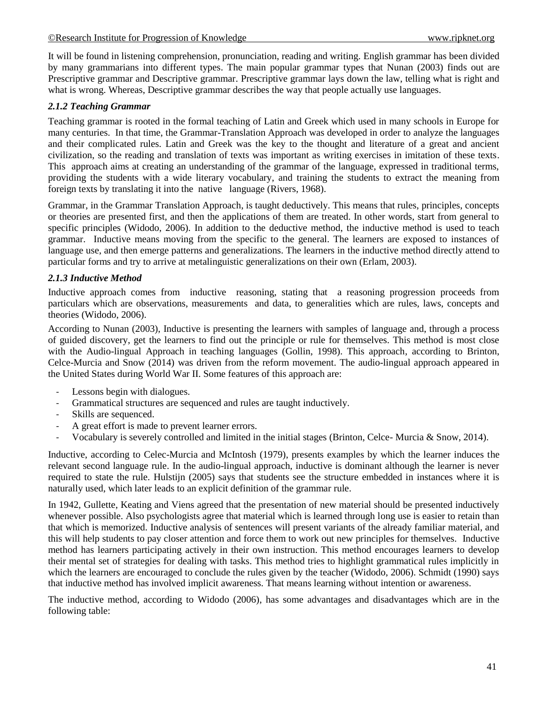It will be found in listening comprehension, pronunciation, reading and writing. English grammar has been divided by many grammarians into different types. The main popular grammar types that Nunan (2003) finds out are Prescriptive grammar and Descriptive grammar. Prescriptive grammar lays down the law, telling what is right and what is wrong. Whereas, Descriptive grammar describes the way that people actually use languages.

# *2.1.2 Teaching Grammar*

Teaching grammar is rooted in the formal teaching of Latin and Greek which used in many schools in Europe for many centuries. In that time, the Grammar-Translation Approach was developed in order to analyze the languages and their complicated rules. Latin and Greek was the key to the thought and literature of a great and ancient civilization, so the reading and translation of texts was important as writing exercises in imitation of these texts. This approach aims at creating an understanding of the grammar of the language, expressed in traditional terms, providing the students with a wide literary vocabulary, and training the students to extract the meaning from foreign texts by translating it into the native language (Rivers, 1968).

Grammar, in the Grammar Translation Approach, is taught deductively. This means that rules, principles, concepts or theories are presented first, and then the applications of them are treated. In other words, start from general to specific principles (Widodo, 2006). In addition to the deductive method, the inductive method is used to teach grammar. Inductive means moving from the specific to the general. The learners are exposed to instances of language use, and then emerge patterns and generalizations. The learners in the inductive method directly attend to particular forms and try to arrive at metalinguistic generalizations on their own (Erlam, 2003).

# *2.1.3 Inductive Method*

Inductive approach comes from inductive reasoning, stating that a reasoning progression proceeds from particulars which are observations, measurements and data, to generalities which are rules, laws, concepts and theories (Widodo, 2006).

According to Nunan (2003), Inductive is presenting the learners with samples of language and, through a process of guided discovery, get the learners to find out the principle or rule for themselves. This method is most close with the Audio-lingual Approach in teaching languages (Gollin, 1998). This approach, according to Brinton, Celce-Murcia and Snow (2014) was driven from the reform movement. The audio-lingual approach appeared in the United States during World War II. Some features of this approach are:

- Lessons begin with dialogues.
- Grammatical structures are sequenced and rules are taught inductively.
- Skills are sequenced.
- A great effort is made to prevent learner errors.
- Vocabulary is severely controlled and limited in the initial stages (Brinton, Celce- Murcia & Snow, 2014).

Inductive, according to Celec-Murcia and McIntosh (1979), presents examples by which the learner induces the relevant second language rule. In the audio-lingual approach, inductive is dominant although the learner is never required to state the rule. Hulstijn (2005) says that students see the structure embedded in instances where it is naturally used, which later leads to an explicit definition of the grammar rule.

In 1942, Gullette, Keating and Viens agreed that the presentation of new material should be presented inductively whenever possible. Also psychologists agree that material which is learned through long use is easier to retain than that which is memorized. Inductive analysis of sentences will present variants of the already familiar material, and this will help students to pay closer attention and force them to work out new principles for themselves. Inductive method has learners participating actively in their own instruction. This method encourages learners to develop their mental set of strategies for dealing with tasks. This method tries to highlight grammatical rules implicitly in which the learners are encouraged to conclude the rules given by the teacher (Widodo, 2006). Schmidt (1990) says that inductive method has involved implicit awareness. That means learning without intention or awareness.

The inductive method, according to Widodo (2006), has some advantages and disadvantages which are in the following table: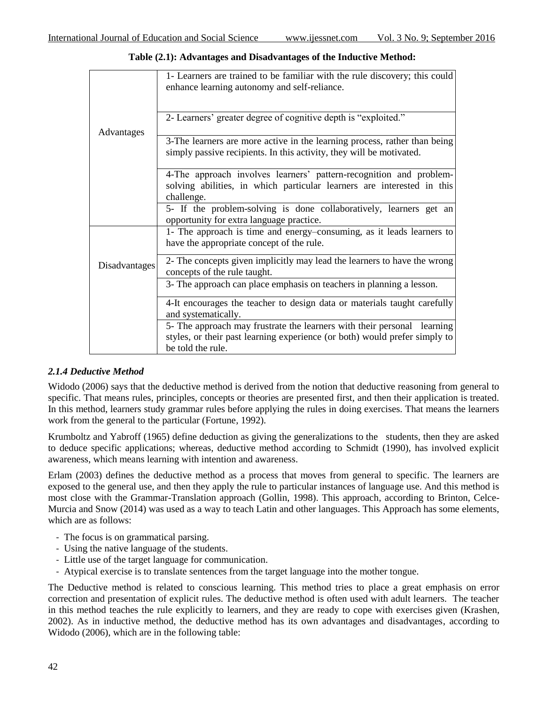|                      | 1- Learners are trained to be familiar with the rule discovery; this could |
|----------------------|----------------------------------------------------------------------------|
|                      | enhance learning autonomy and self-reliance.                               |
|                      |                                                                            |
|                      |                                                                            |
|                      | 2- Learners' greater degree of cognitive depth is "exploited."             |
| Advantages           |                                                                            |
|                      | 3-The learners are more active in the learning process, rather than being  |
|                      | simply passive recipients. In this activity, they will be motivated.       |
|                      |                                                                            |
|                      |                                                                            |
|                      | 4-The approach involves learners' pattern-recognition and problem-         |
|                      | solving abilities, in which particular learners are interested in this     |
|                      | challenge.                                                                 |
|                      | 5- If the problem-solving is done collaboratively, learners get an         |
|                      | opportunity for extra language practice.                                   |
|                      | 1- The approach is time and energy–consuming, as it leads learners to      |
|                      | have the appropriate concept of the rule.                                  |
|                      |                                                                            |
|                      | 2- The concepts given implicitly may lead the learners to have the wrong   |
| <b>Disadvantages</b> | concepts of the rule taught.                                               |
|                      | 3- The approach can place emphasis on teachers in planning a lesson.       |
|                      |                                                                            |
|                      | 4-It encourages the teacher to design data or materials taught carefully   |
|                      | and systematically.                                                        |
|                      | 5- The approach may frustrate the learners with their personal learning    |
|                      |                                                                            |
|                      | styles, or their past learning experience (or both) would prefer simply to |
|                      | be told the rule.                                                          |

**Table (2.1): Advantages and Disadvantages of the Inductive Method:**

# *2.1.4 Deductive Method*

Widodo (2006) says that the deductive method is derived from the notion that deductive reasoning from general to specific. That means rules, principles, concepts or theories are presented first, and then their application is treated. In this method, learners study grammar rules before applying the rules in doing exercises. That means the learners work from the general to the particular (Fortune, 1992).

Krumboltz and Yabroff (1965) define deduction as giving the generalizations to the students, then they are asked to deduce specific applications; whereas, deductive method according to Schmidt (1990), has involved explicit awareness, which means learning with intention and awareness.

Erlam (2003) defines the deductive method as a process that moves from general to specific. The learners are exposed to the general use, and then they apply the rule to particular instances of language use. And this method is most close with the Grammar-Translation approach (Gollin, 1998). This approach, according to Brinton, Celce-Murcia and Snow (2014) was used as a way to teach Latin and other languages. This Approach has some elements, which are as follows:

- The focus is on grammatical parsing.
- Using the native language of the students.
- Little use of the target language for communication.
- Atypical exercise is to translate sentences from the target language into the mother tongue.

The Deductive method is related to conscious learning. This method tries to place a great emphasis on error correction and presentation of explicit rules. The deductive method is often used with adult learners. The teacher in this method teaches the rule explicitly to learners, and they are ready to cope with exercises given (Krashen, 2002). As in inductive method, the deductive method has its own advantages and disadvantages, according to Widodo (2006), which are in the following table: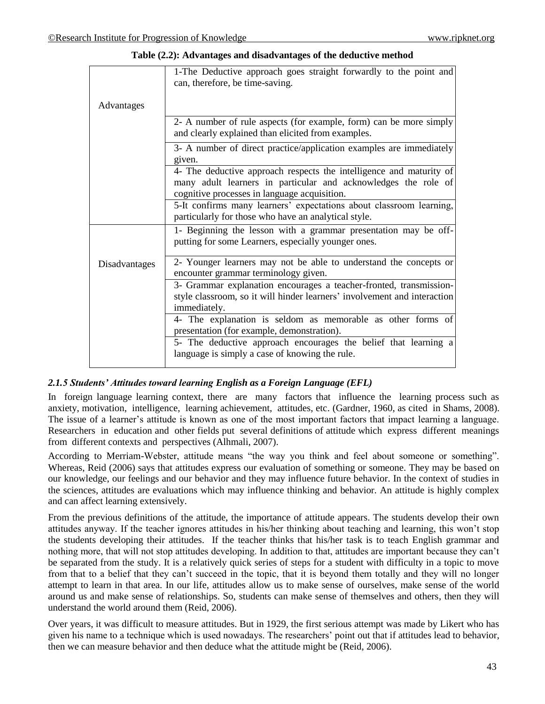|               | 1-The Deductive approach goes straight forwardly to the point and<br>can, therefore, be time-saving.                                                                                  |  |  |  |  |
|---------------|---------------------------------------------------------------------------------------------------------------------------------------------------------------------------------------|--|--|--|--|
| Advantages    |                                                                                                                                                                                       |  |  |  |  |
|               | 2- A number of rule aspects (for example, form) can be more simply<br>and clearly explained than elicited from examples.                                                              |  |  |  |  |
|               | 3- A number of direct practice/application examples are immediately<br>given.                                                                                                         |  |  |  |  |
|               | 4- The deductive approach respects the intelligence and maturity of<br>many adult learners in particular and acknowledges the role of<br>cognitive processes in language acquisition. |  |  |  |  |
|               | 5-It confirms many learners' expectations about classroom learning,<br>particularly for those who have an analytical style.                                                           |  |  |  |  |
|               | 1- Beginning the lesson with a grammar presentation may be off-<br>putting for some Learners, especially younger ones.                                                                |  |  |  |  |
| Disadvantages | 2- Younger learners may not be able to understand the concepts or<br>encounter grammar terminology given.                                                                             |  |  |  |  |
|               | 3- Grammar explanation encourages a teacher-fronted, transmission-<br>style classroom, so it will hinder learners' involvement and interaction<br>immediately.                        |  |  |  |  |
|               | 4- The explanation is seldom as memorable as other forms of<br>presentation (for example, demonstration).                                                                             |  |  |  |  |
|               | 5- The deductive approach encourages the belief that learning a<br>language is simply a case of knowing the rule.                                                                     |  |  |  |  |

**Table (2.2): Advantages and disadvantages of the deductive method**

# *2.1.5 Students' Attitudes toward learning English as a Foreign Language (EFL)*

In foreign language learning context, there are many factors that influence the learning process such as anxiety, motivation, intelligence, learning achievement, attitudes, etc. (Gardner, 1960, as cited in Shams, 2008). The issue of a learner's attitude is known as one of the most important factors that impact learning a language. Researchers in education and other fields put several definitions of attitude which express different meanings from different contexts and perspectives (Alhmali, 2007).

According to Merriam-Webster, attitude means "the way you think and feel about someone or something". Whereas, Reid (2006) says that attitudes express our evaluation of something or someone. They may be based on our knowledge, our feelings and our behavior and they may influence future behavior. In the context of studies in the sciences, attitudes are evaluations which may influence thinking and behavior. An attitude is highly complex and can affect learning extensively.

From the previous definitions of the attitude, the importance of attitude appears. The students develop their own attitudes anyway. If the teacher ignores attitudes in his/her thinking about teaching and learning, this won't stop the students developing their attitudes. If the teacher thinks that his/her task is to teach English grammar and nothing more, that will not stop attitudes developing. In addition to that, attitudes are important because they can't be separated from the study. It is a relatively quick series of steps for a student with difficulty in a topic to move from that to a belief that they can't succeed in the topic, that it is beyond them totally and they will no longer attempt to learn in that area. In our life, attitudes allow us to make sense of ourselves, make sense of the world around us and make sense of relationships. So, students can make sense of themselves and others, then they will understand the world around them (Reid, 2006).

Over years, it was difficult to measure attitudes. But in 1929, the first serious attempt was made by Likert who has given his name to a technique which is used nowadays. The researchers' point out that if attitudes lead to behavior, then we can measure behavior and then deduce what the attitude might be (Reid, 2006).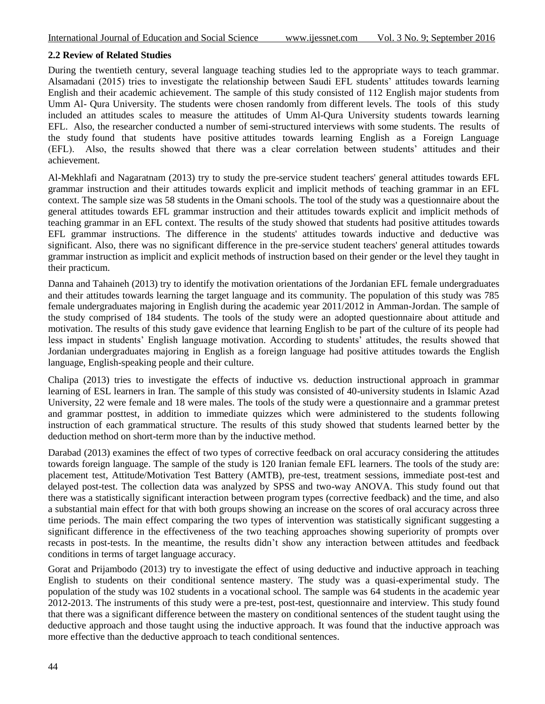# **2.2 Review of Related Studies**

During the twentieth century, several language teaching studies led to the appropriate ways to teach grammar. Alsamadani (2015) tries to investigate the relationship between Saudi EFL students' attitudes towards learning English and their academic achievement. The sample of this study consisted of 112 English major students from Umm Al- Qura University. The students were chosen randomly from different levels. The tools of this study included an attitudes scales to measure the attitudes of Umm Al-Qura University students towards learning EFL. Also, the researcher conducted a number of semi-structured interviews with some students. The results of the study found that students have positive attitudes towards learning English as a Foreign Language (EFL). Also, the results showed that there was a clear correlation between students' attitudes and their achievement.

Al-Mekhlafi and Nagaratnam (2013) try to study the pre-service student teachers' general attitudes towards EFL grammar instruction and their attitudes towards explicit and implicit methods of teaching grammar in an EFL context. The sample size was 58 students in the Omani schools. The tool of the study was a questionnaire about the general attitudes towards EFL grammar instruction and their attitudes towards explicit and implicit methods of teaching grammar in an EFL context. The results of the study showed that students had positive attitudes towards EFL grammar instructions. The difference in the students' attitudes towards inductive and deductive was significant. Also, there was no significant difference in the pre-service student teachers' general attitudes towards grammar instruction as implicit and explicit methods of instruction based on their gender or the level they taught in their practicum.

Danna and Tahaineh (2013) try to identify the motivation orientations of the Jordanian EFL female undergraduates and their attitudes towards learning the target language and its community. The population of this study was 785 female undergraduates majoring in English during the academic year 2011/2012 in Amman-Jordan. The sample of the study comprised of 184 students. The tools of the study were an adopted questionnaire about attitude and motivation. The results of this study gave evidence that learning English to be part of the culture of its people had less impact in students' English language motivation. According to students' attitudes, the results showed that Jordanian undergraduates majoring in English as a foreign language had positive attitudes towards the English language, English-speaking people and their culture.

Chalipa (2013) tries to investigate the effects of inductive vs. deduction instructional approach in grammar learning of ESL learners in Iran. The sample of this study was consisted of 40-university students in Islamic Azad University, 22 were female and 18 were males. The tools of the study were a questionnaire and a grammar pretest and grammar posttest, in addition to immediate quizzes which were administered to the students following instruction of each grammatical structure. The results of this study showed that students learned better by the deduction method on short-term more than by the inductive method.

Darabad (2013) examines the effect of two types of corrective feedback on oral accuracy considering the attitudes towards foreign language. The sample of the study is 120 Iranian female EFL learners. The tools of the study are: placement test, Attitude/Motivation Test Battery (AMTB), pre-test, treatment sessions, immediate post-test and delayed post-test. The collection data was analyzed by SPSS and two-way ANOVA. This study found out that there was a statistically significant interaction between program types (corrective feedback) and the time, and also a substantial main effect for that with both groups showing an increase on the scores of oral accuracy across three time periods. The main effect comparing the two types of intervention was statistically significant suggesting a significant difference in the effectiveness of the two teaching approaches showing superiority of prompts over recasts in post-tests. In the meantime, the results didn't show any interaction between attitudes and feedback conditions in terms of target language accuracy.

Gorat and Prijambodo (2013) try to investigate the effect of using deductive and inductive approach in teaching English to students on their conditional sentence mastery. The study was a quasi-experimental study. The population of the study was 102 students in a vocational school. The sample was 64 students in the academic year 2012-2013. The instruments of this study were a pre-test, post-test, questionnaire and interview. This study found that there was a significant difference between the mastery on conditional sentences of the student taught using the deductive approach and those taught using the inductive approach. It was found that the inductive approach was more effective than the deductive approach to teach conditional sentences.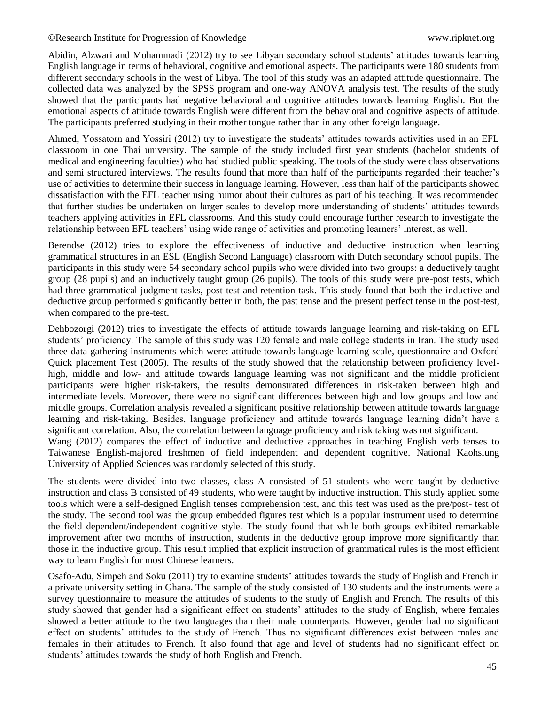Abidin, Alzwari and Mohammadi (2012) try to see Libyan secondary school students' attitudes towards learning English language in terms of behavioral, cognitive and emotional aspects. The participants were 180 students from different secondary schools in the west of Libya. The tool of this study was an adapted attitude questionnaire. The collected data was analyzed by the SPSS program and one-way ANOVA analysis test. The results of the study showed that the participants had negative behavioral and cognitive attitudes towards learning English. But the emotional aspects of attitude towards English were different from the behavioral and cognitive aspects of attitude. The participants preferred studying in their mother tongue rather than in any other foreign language.

Ahmed, Yossatorn and Yossiri (2012) try to investigate the students' attitudes towards activities used in an EFL classroom in one Thai university. The sample of the study included first year students (bachelor students of medical and engineering faculties) who had studied public speaking. The tools of the study were class observations and semi structured interviews. The results found that more than half of the participants regarded their teacher's use of activities to determine their success in language learning. However, less than half of the participants showed dissatisfaction with the EFL teacher using humor about their cultures as part of his teaching. It was recommended that further studies be undertaken on larger scales to develop more understanding of students' attitudes towards teachers applying activities in EFL classrooms. And this study could encourage further research to investigate the relationship between EFL teachers' using wide range of activities and promoting learners' interest, as well.

Berendse (2012) tries to explore the effectiveness of inductive and deductive instruction when learning grammatical structures in an ESL (English Second Language) classroom with Dutch secondary school pupils. The participants in this study were 54 secondary school pupils who were divided into two groups: a deductively taught group (28 pupils) and an inductively taught group (26 pupils). The tools of this study were pre-post tests, which had three grammatical judgment tasks, post-test and retention task. This study found that both the inductive and deductive group performed significantly better in both, the past tense and the present perfect tense in the post-test, when compared to the pre-test.

Dehbozorgi (2012) tries to investigate the effects of attitude towards language learning and risk-taking on EFL students' proficiency. The sample of this study was 120 female and male college students in Iran. The study used three data gathering instruments which were: attitude towards language learning scale, questionnaire and Oxford Quick placement Test (2005). The results of the study showed that the relationship between proficiency levelhigh, middle and low- and attitude towards language learning was not significant and the middle proficient participants were higher risk-takers, the results demonstrated differences in risk-taken between high and intermediate levels. Moreover, there were no significant differences between high and low groups and low and middle groups. Correlation analysis revealed a significant positive relationship between attitude towards language learning and risk-taking. Besides, language proficiency and attitude towards language learning didn't have a significant correlation. Also, the correlation between language proficiency and risk taking was not significant.

Wang (2012) compares the effect of inductive and deductive approaches in teaching English verb tenses to Taiwanese English-majored freshmen of field independent and dependent cognitive. National Kaohsiung University of Applied Sciences was randomly selected of this study.

The students were divided into two classes, class A consisted of 51 students who were taught by deductive instruction and class B consisted of 49 students, who were taught by inductive instruction. This study applied some tools which were a self-designed English tenses comprehension test, and this test was used as the pre/post- test of the study. The second tool was the group embedded figures test which is a popular instrument used to determine the field dependent/independent cognitive style. The study found that while both groups exhibited remarkable improvement after two months of instruction, students in the deductive group improve more significantly than those in the inductive group. This result implied that explicit instruction of grammatical rules is the most efficient way to learn English for most Chinese learners.

Osafo-Adu, Simpeh and Soku (2011) try to examine students' attitudes towards the study of English and French in a private university setting in Ghana. The sample of the study consisted of 130 students and the instruments were a survey questionnaire to measure the attitudes of students to the study of English and French. The results of this study showed that gender had a significant effect on students' attitudes to the study of English, where females showed a better attitude to the two languages than their male counterparts. However, gender had no significant effect on students' attitudes to the study of French. Thus no significant differences exist between males and females in their attitudes to French. It also found that age and level of students had no significant effect on students' attitudes towards the study of both English and French.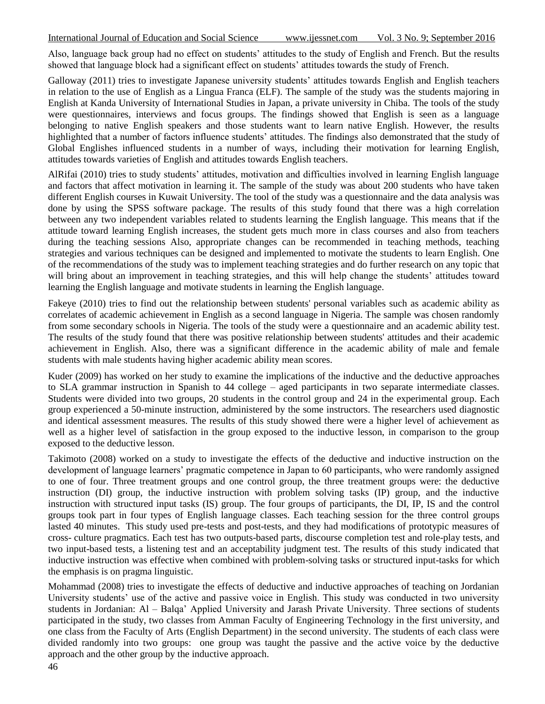Also, language back group had no effect on students' attitudes to the study of English and French. But the results showed that language block had a significant effect on students' attitudes towards the study of French.

Galloway (2011) tries to investigate Japanese university students' attitudes towards English and English teachers in relation to the use of English as a Lingua Franca (ELF). The sample of the study was the students majoring in English at Kanda University of International Studies in Japan, a private university in Chiba. The tools of the study were questionnaires, interviews and focus groups. The findings showed that English is seen as a language belonging to native English speakers and those students want to learn native English. However, the results highlighted that a number of factors influence students' attitudes. The findings also demonstrated that the study of Global Englishes influenced students in a number of ways, including their motivation for learning English, attitudes towards varieties of English and attitudes towards English teachers.

AlRifai (2010) tries to study students' attitudes, motivation and difficulties involved in learning English language and factors that affect motivation in learning it. The sample of the study was about 200 students who have taken different English courses in Kuwait University. The tool of the study was a questionnaire and the data analysis was done by using the SPSS software package. The results of this study found that there was a high correlation between any two independent variables related to students learning the English language. This means that if the attitude toward learning English increases, the student gets much more in class courses and also from teachers during the teaching sessions Also, appropriate changes can be recommended in teaching methods, teaching strategies and various techniques can be designed and implemented to motivate the students to learn English. One of the recommendations of the study was to implement teaching strategies and do further research on any topic that will bring about an improvement in teaching strategies, and this will help change the students' attitudes toward learning the English language and motivate students in learning the English language.

Fakeye (2010) tries to find out the relationship between students' personal variables such as academic ability as correlates of academic achievement in English as a second language in Nigeria. The sample was chosen randomly from some secondary schools in Nigeria. The tools of the study were a questionnaire and an academic ability test. The results of the study found that there was positive relationship between students' attitudes and their academic achievement in English. Also, there was a significant difference in the academic ability of male and female students with male students having higher academic ability mean scores.

Kuder (2009) has worked on her study to examine the implications of the inductive and the deductive approaches to SLA grammar instruction in Spanish to 44 college – aged participants in two separate intermediate classes. Students were divided into two groups, 20 students in the control group and 24 in the experimental group. Each group experienced a 50-minute instruction, administered by the some instructors. The researchers used diagnostic and identical assessment measures. The results of this study showed there were a higher level of achievement as well as a higher level of satisfaction in the group exposed to the inductive lesson, in comparison to the group exposed to the deductive lesson.

Takimoto (2008) worked on a study to investigate the effects of the deductive and inductive instruction on the development of language learners' pragmatic competence in Japan to 60 participants, who were randomly assigned to one of four. Three treatment groups and one control group, the three treatment groups were: the deductive instruction (DI) group, the inductive instruction with problem solving tasks (IP) group, and the inductive instruction with structured input tasks (IS) group. The four groups of participants, the DI, IP, IS and the control groups took part in four types of English language classes. Each teaching session for the three control groups lasted 40 minutes. This study used pre-tests and post-tests, and they had modifications of prototypic measures of cross- culture pragmatics. Each test has two outputs-based parts, discourse completion test and role-play tests, and two input-based tests, a listening test and an acceptability judgment test. The results of this study indicated that inductive instruction was effective when combined with problem-solving tasks or structured input-tasks for which the emphasis is on pragma linguistic.

Mohammad (2008) tries to investigate the effects of deductive and inductive approaches of teaching on Jordanian University students' use of the active and passive voice in English. This study was conducted in two university students in Jordanian: Al – Balqa' Applied University and Jarash Private University. Three sections of students participated in the study, two classes from Amman Faculty of Engineering Technology in the first university, and one class from the Faculty of Arts (English Department) in the second university. The students of each class were divided randomly into two groups: one group was taught the passive and the active voice by the deductive approach and the other group by the inductive approach.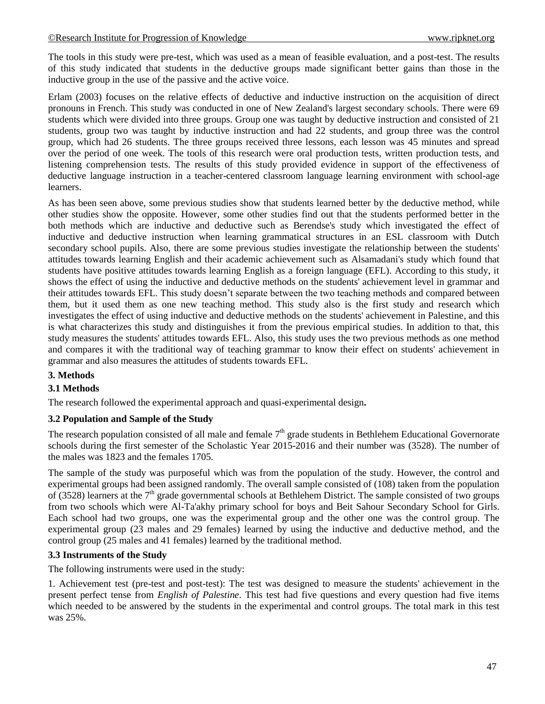The tools in this study were pre-test, which was used as a mean of feasible evaluation, and a post-test. The results of this study indicated that students in the deductive groups made significant better gains than those in the inductive group in the use of the passive and the active voice.

Erlam (2003) focuses on the relative effects of deductive and inductive instruction on the acquisition of direct pronouns in French. This study was conducted in one of New Zealand's largest secondary schools. There were 69 students which were divided into three groups. Group one was taught by deductive instruction and consisted of 21 students, group two was taught by inductive instruction and had 22 students, and group three was the control group, which had 26 students. The three groups received three lessons, each lesson was 45 minutes and spread over the period of one week. The tools of this research were oral production tests, written production tests, and listening comprehension tests. The results of this study provided evidence in support of the effectiveness of deductive language instruction in a teacher-centered classroom language learning environment with school-age learners.

As has been seen above, some previous studies show that students learned better by the deductive method, while other studies show the opposite. However, some other studies find out that the students performed better in the both methods which are inductive and deductive such as Berendse's study which investigated the effect of inductive and deductive instruction when learning grammatical structures in an ESL classroom with Dutch secondary school pupils. Also, there are some previous studies investigate the relationship between the students' attitudes towards learning English and their academic achievement such as Alsamadani's study which found that students have positive attitudes towards learning English as a foreign language (EFL). According to this study, it shows the effect of using the inductive and deductive methods on the students' achievement level in grammar and their attitudes towards EFL. This study doesn't separate between the two teaching methods and compared between them, but it used them as one new teaching method. This study also is the first study and research which investigates the effect of using inductive and deductive methods on the students' achievement in Palestine, and this is what characterizes this study and distinguishes it from the previous empirical studies. In addition to that, this study measures the students' attitudes towards EFL. Also, this study uses the two previous methods as one method and compares it with the traditional way of teaching grammar to know their effect on students' achievement in grammar and also measures the attitudes of students towards EFL.

# **3. Methods**

# **3.1 Methods**

The research followed the experimental approach and quasi-experimental design**.**

## **3.2 Population and Sample of the Study**

The research population consisted of all male and female  $7<sup>th</sup>$  grade students in Bethlehem Educational Governorate schools during the first semester of the Scholastic Year 2015-2016 and their number was (3528). The number of the males was 1823 and the females 1705.

The sample of the study was purposeful which was from the population of the study. However, the control and experimental groups had been assigned randomly. The overall sample consisted of (108) taken from the population of (3528) learners at the  $7<sup>th</sup>$  grade governmental schools at Bethlehem District. The sample consisted of two groups from two schools which were Al-Ta'akhy primary school for boys and Beit Sahour Secondary School for Girls. Each school had two groups, one was the experimental group and the other one was the control group. The experimental group (23 males and 29 females) learned by using the inductive and deductive method, and the control group (25 males and 41 females) learned by the traditional method.

## **3.3 Instruments of the Study**

The following instruments were used in the study:

1. Achievement test (pre-test and post-test): The test was designed to measure the students' achievement in the present perfect tense from *English of Palestine*. This test had five questions and every question had five items which needed to be answered by the students in the experimental and control groups. The total mark in this test was 25%.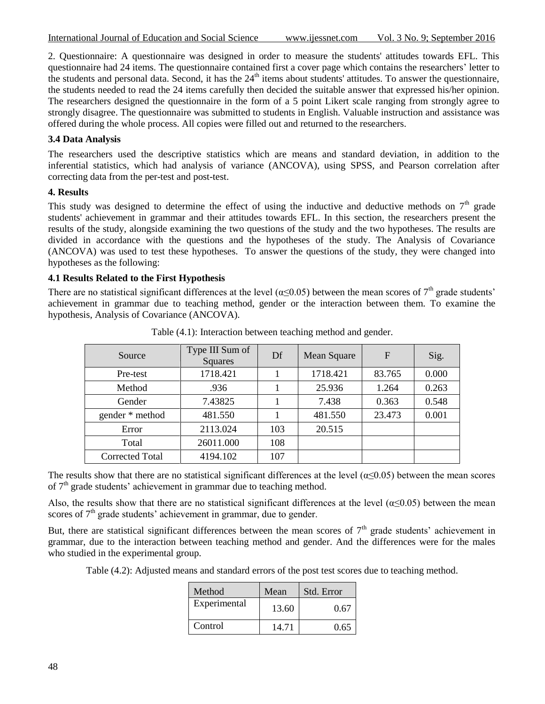2. Questionnaire: A questionnaire was designed in order to measure the students' attitudes towards EFL. This questionnaire had 24 items. The questionnaire contained first a cover page which contains the researchers' letter to the students and personal data. Second, it has the 24<sup>th</sup> items about students' attitudes. To answer the questionnaire, the students needed to read the 24 items carefully then decided the suitable answer that expressed his/her opinion. The researchers designed the questionnaire in the form of a 5 point Likert scale ranging from strongly agree to strongly disagree. The questionnaire was submitted to students in English. Valuable instruction and assistance was offered during the whole process. All copies were filled out and returned to the researchers.

## **3.4 Data Analysis**

The researchers used the descriptive statistics which are means and standard deviation, in addition to the inferential statistics, which had analysis of variance (ANCOVA), using SPSS, and Pearson correlation after correcting data from the per-test and post-test.

#### **4. Results**

This study was designed to determine the effect of using the inductive and deductive methods on  $7<sup>th</sup>$  grade students' achievement in grammar and their attitudes towards EFL. In this section, the researchers present the results of the study, alongside examining the two questions of the study and the two hypotheses. The results are divided in accordance with the questions and the hypotheses of the study. The Analysis of Covariance (ANCOVA) was used to test these hypotheses. To answer the questions of the study, they were changed into hypotheses as the following:

## **4.1 Results Related to the First Hypothesis**

There are no statistical significant differences at the level ( $\alpha \le 0.05$ ) between the mean scores of 7<sup>th</sup> grade students' achievement in grammar due to teaching method, gender or the interaction between them. To examine the hypothesis, Analysis of Covariance (ANCOVA).

| Source          | Type III Sum of<br>Squares | Df  | Mean Square | F      | Sig.  |
|-----------------|----------------------------|-----|-------------|--------|-------|
| Pre-test        | 1718.421                   |     | 1718.421    | 83.765 | 0.000 |
| Method          | .936                       |     | 25.936      | 1.264  | 0.263 |
| Gender          | 7.43825                    |     | 7.438       | 0.363  | 0.548 |
| gender * method | 481.550                    |     | 481.550     | 23.473 | 0.001 |
| Error           | 2113.024                   | 103 | 20.515      |        |       |
| Total           | 26011.000                  | 108 |             |        |       |
| Corrected Total | 4194.102                   | 107 |             |        |       |

Table (4.1): Interaction between teaching method and gender.

The results show that there are no statistical significant differences at the level ( $\alpha \le 0.05$ ) between the mean scores of  $7<sup>th</sup>$  grade students' achievement in grammar due to teaching method.

Also, the results show that there are no statistical significant differences at the level ( $\alpha$  < 0.05) between the mean scores of  $7<sup>th</sup>$  grade students' achievement in grammar, due to gender.

But, there are statistical significant differences between the mean scores of  $7<sup>th</sup>$  grade students' achievement in grammar, due to the interaction between teaching method and gender. And the differences were for the males who studied in the experimental group.

Table (4.2): Adjusted means and standard errors of the post test scores due to teaching method.

| Method       | Mean  | Std. Error |  |
|--------------|-------|------------|--|
| Experimental | 13.60 | 0.67       |  |
| Control      | 14.71 | 0.65       |  |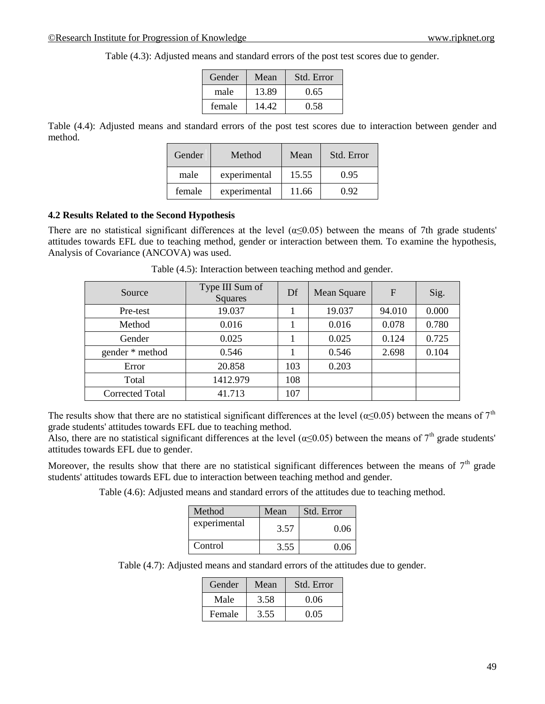| Gender | Mean  | Std. Error |
|--------|-------|------------|
| male   | 13.89 | 0.65       |
| female | 14.42 | 0.58       |

Table (4.3): Adjusted means and standard errors of the post test scores due to gender.

Table (4.4): Adjusted means and standard errors of the post test scores due to interaction between gender and method.

| Gender | Method       | Mean  | Std. Error |
|--------|--------------|-------|------------|
| male   | experimental | 15.55 | 0.95       |
| female | experimental | 11.66 | D 92.      |

### **4.2 Results Related to the Second Hypothesis**

There are no statistical significant differences at the level  $(\alpha \le 0.05)$  between the means of 7th grade students' attitudes towards EFL due to teaching method, gender or interaction between them. To examine the hypothesis, Analysis of Covariance (ANCOVA) was used.

| Source          | Type III Sum of<br>Squares | Df  | Mean Square | F      | Sig.  |
|-----------------|----------------------------|-----|-------------|--------|-------|
| Pre-test        | 19.037                     |     | 19.037      | 94.010 | 0.000 |
| Method          | 0.016                      |     | 0.016       | 0.078  | 0.780 |
| Gender          | 0.025                      |     | 0.025       | 0.124  | 0.725 |
| gender * method | 0.546                      |     | 0.546       | 2.698  | 0.104 |
| Error           | 20.858                     | 103 | 0.203       |        |       |
| Total           | 1412.979                   | 108 |             |        |       |
| Corrected Total | 41.713                     | 107 |             |        |       |

Table (4.5): Interaction between teaching method and gender.

The results show that there are no statistical significant differences at the level ( $\alpha \le 0.05$ ) between the means of  $7^{\text{th}}$ grade students' attitudes towards EFL due to teaching method.

Also, there are no statistical significant differences at the level ( $\alpha \le 0.05$ ) between the means of 7<sup>th</sup> grade students' attitudes towards EFL due to gender.

Moreover, the results show that there are no statistical significant differences between the means of  $7<sup>th</sup>$  grade students' attitudes towards EFL due to interaction between teaching method and gender.

Table (4.6): Adjusted means and standard errors of the attitudes due to teaching method.

| Method       | Mean | Std. Error |  |
|--------------|------|------------|--|
| experimental | 3.57 | 0.06       |  |
| Control      | 3.55 | 0.06       |  |

Table (4.7): Adjusted means and standard errors of the attitudes due to gender.

| Gender | Mean | Std. Error |
|--------|------|------------|
| Male   | 3.58 | 0.06       |
| Female | 3.55 | 0.05       |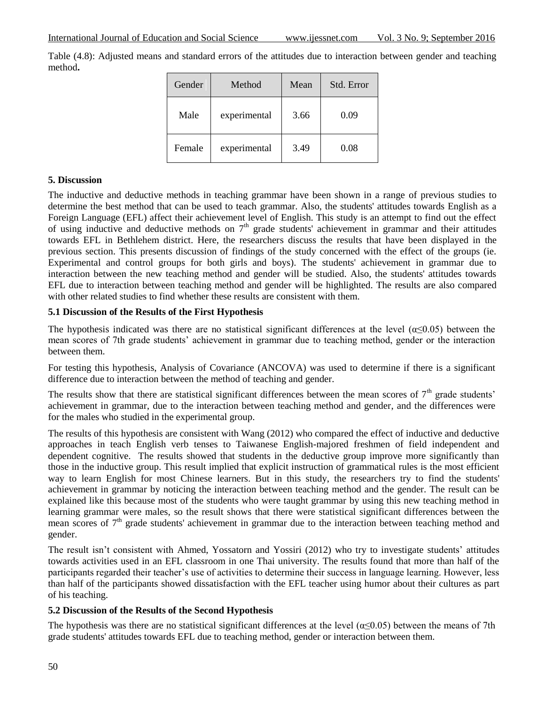Table (4.8): Adjusted means and standard errors of the attitudes due to interaction between gender and teaching method**.**

| Gender | Method       | Mean | Std. Error |
|--------|--------------|------|------------|
| Male   | experimental | 3.66 | 0.09       |
| Female | experimental | 3.49 | 0.08       |

# **5. Discussion**

The inductive and deductive methods in teaching grammar have been shown in a range of previous studies to determine the best method that can be used to teach grammar. Also, the students' attitudes towards English as a Foreign Language (EFL) affect their achievement level of English. This study is an attempt to find out the effect of using inductive and deductive methods on  $7<sup>th</sup>$  grade students' achievement in grammar and their attitudes towards EFL in Bethlehem district. Here, the researchers discuss the results that have been displayed in the previous section. This presents discussion of findings of the study concerned with the effect of the groups (ie. Experimental and control groups for both girls and boys). The students' achievement in grammar due to interaction between the new teaching method and gender will be studied. Also, the students' attitudes towards EFL due to interaction between teaching method and gender will be highlighted. The results are also compared with other related studies to find whether these results are consistent with them.

## **5.1 Discussion of the Results of the First Hypothesis**

The hypothesis indicated was there are no statistical significant differences at the level ( $\alpha$  < 0.05) between the mean scores of 7th grade students' achievement in grammar due to teaching method, gender or the interaction between them.

For testing this hypothesis, Analysis of Covariance (ANCOVA) was used to determine if there is a significant difference due to interaction between the method of teaching and gender.

The results show that there are statistical significant differences between the mean scores of  $7<sup>th</sup>$  grade students' achievement in grammar, due to the interaction between teaching method and gender, and the differences were for the males who studied in the experimental group.

The results of this hypothesis are consistent with Wang (2012) who compared the effect of inductive and deductive approaches in teach English verb tenses to Taiwanese English-majored freshmen of field independent and dependent cognitive. The results showed that students in the deductive group improve more significantly than those in the inductive group. This result implied that explicit instruction of grammatical rules is the most efficient way to learn English for most Chinese learners. But in this study, the researchers try to find the students' achievement in grammar by noticing the interaction between teaching method and the gender. The result can be explained like this because most of the students who were taught grammar by using this new teaching method in learning grammar were males, so the result shows that there were statistical significant differences between the mean scores of  $7<sup>th</sup>$  grade students' achievement in grammar due to the interaction between teaching method and gender.

The result isn't consistent with Ahmed, Yossatorn and Yossiri (2012) who try to investigate students' attitudes towards activities used in an EFL classroom in one Thai university. The results found that more than half of the participants regarded their teacher's use of activities to determine their success in language learning. However, less than half of the participants showed dissatisfaction with the EFL teacher using humor about their cultures as part of his teaching.

# **5.2 Discussion of the Results of the Second Hypothesis**

The hypothesis was there are no statistical significant differences at the level ( $\alpha \le 0.05$ ) between the means of 7th grade students' attitudes towards EFL due to teaching method, gender or interaction between them.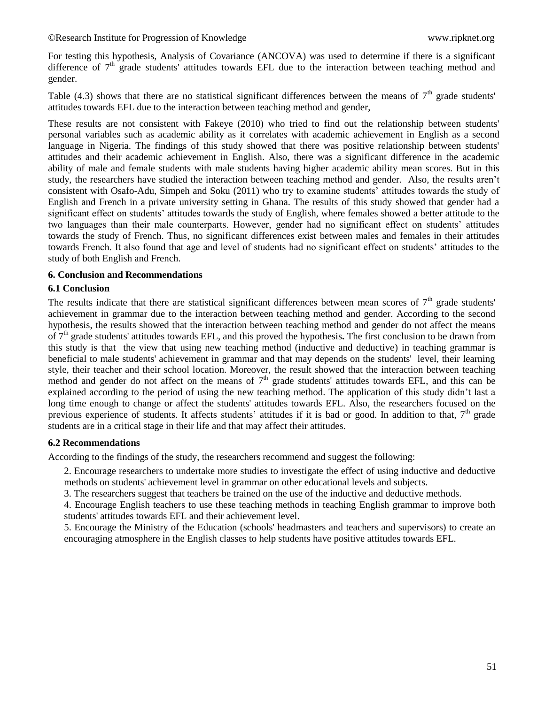For testing this hypothesis, Analysis of Covariance (ANCOVA) was used to determine if there is a significant difference of  $7<sup>th</sup>$  grade students' attitudes towards EFL due to the interaction between teaching method and gender.

Table (4.3) shows that there are no statistical significant differences between the means of  $7<sup>th</sup>$  grade students' attitudes towards EFL due to the interaction between teaching method and gender,

These results are not consistent with Fakeye (2010) who tried to find out the relationship between students' personal variables such as academic ability as it correlates with academic achievement in English as a second language in Nigeria. The findings of this study showed that there was positive relationship between students' attitudes and their academic achievement in English. Also, there was a significant difference in the academic ability of male and female students with male students having higher academic ability mean scores. But in this study, the researchers have studied the interaction between teaching method and gender. Also, the results aren't consistent with Osafo-Adu, Simpeh and Soku (2011) who try to examine students' attitudes towards the study of English and French in a private university setting in Ghana. The results of this study showed that gender had a significant effect on students' attitudes towards the study of English, where females showed a better attitude to the two languages than their male counterparts. However, gender had no significant effect on students' attitudes towards the study of French. Thus, no significant differences exist between males and females in their attitudes towards French. It also found that age and level of students had no significant effect on students' attitudes to the study of both English and French.

## **6. Conclusion and Recommendations**

## **6.1 Conclusion**

The results indicate that there are statistical significant differences between mean scores of  $7<sup>th</sup>$  grade students' achievement in grammar due to the interaction between teaching method and gender. According to the second hypothesis, the results showed that the interaction between teaching method and gender do not affect the means of 7th grade students' attitudes towards EFL, and this proved the hypothesis**.** The first conclusion to be drawn from this study is that the view that using new teaching method (inductive and deductive) in teaching grammar is beneficial to male students' achievement in grammar and that may depends on the students' level, their learning style, their teacher and their school location. Moreover, the result showed that the interaction between teaching method and gender do not affect on the means of  $7<sup>th</sup>$  grade students' attitudes towards EFL, and this can be explained according to the period of using the new teaching method. The application of this study didn't last a long time enough to change or affect the students' attitudes towards EFL. Also, the researchers focused on the previous experience of students. It affects students' attitudes if it is bad or good. In addition to that,  $7<sup>th</sup>$  grade students are in a critical stage in their life and that may affect their attitudes.

## **6.2 Recommendations**

According to the findings of the study, the researchers recommend and suggest the following:

2. Encourage researchers to undertake more studies to investigate the effect of using inductive and deductive methods on students' achievement level in grammar on other educational levels and subjects.

3. The researchers suggest that teachers be trained on the use of the inductive and deductive methods.

4. Encourage English teachers to use these teaching methods in teaching English grammar to improve both students' attitudes towards EFL and their achievement level.

5. Encourage the Ministry of the Education (schools' headmasters and teachers and supervisors) to create an encouraging atmosphere in the English classes to help students have positive attitudes towards EFL.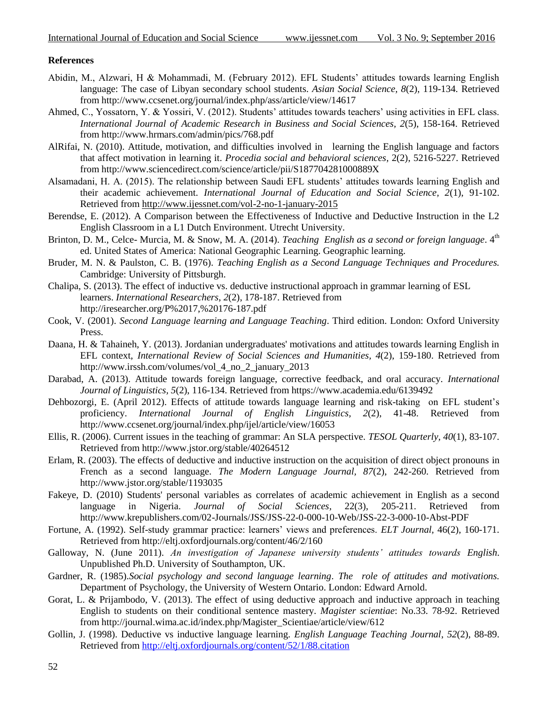#### **References**

- Abidin, M., Alzwari, H & Mohammadi, M. (February 2012). EFL Students' attitudes towards learning English language: The case of Libyan secondary school students. *Asian Social Science, 8*(2), 119-134. Retrieved from http://www.ccsenet.org/journal/index.php/ass/article/view/14617
- Ahmed, C., Yossatorn, Y. & Yossiri, V. (2012). Students' attitudes towards teachers' using activities in EFL class. *International Journal of Academic Research in Business and Social Sciences, 2*(5), 158-164. Retrieved from http://www.hrmars.com/admin/pics/768.pdf
- AlRifai, N. (2010). Attitude, motivation, and difficulties involved in learning the English language and factors that affect motivation in learning it. *Procedia social and behavioral sciences,* 2(2), 5216-5227. Retrieved from http://www.sciencedirect.com/science/article/pii/S187704281000889X
- Alsamadani, H. A. (2015). The relationship between Saudi EFL students' attitudes towards learning English and their academic achievement. *International Journal of Education and Social Science, 2*(1), 91-102. Retrieved fro[m http://www.ijessnet.com/vol-2-no-1-january-2015](http://www.ijessnet.com/vol-2-no-1-january-2015)
- Berendse, E. (2012). A Comparison between the Effectiveness of Inductive and Deductive Instruction in the L2 English Classroom in a L1 Dutch Environment. Utrecht University.
- Brinton, D. M., Celce- Murcia, M. & Snow, M. A. (2014). *Teaching English as a second or foreign language*. 4<sup>th</sup> ed. United States of America: National Geographic Learning. Geographic learning.
- Bruder, M. N. & Paulston, C. B. (1976). *Teaching English as a Second Language Techniques and Procedures.* Cambridge: University of Pittsburgh.
- Chalipa, S. (2013). The effect of inductive vs. deductive instructional approach in grammar learning of ESL learners. *International Researchers*, *2*(2), 178-187. Retrieved from http://iresearcher.org/P%2017,%20176-187.pdf
- Cook, V. (2001). *Second Language learning and Language Teaching*. Third edition. London: Oxford University Press.
- Daana, H. & Tahaineh, Y. (2013). Jordanian undergraduates' motivations and attitudes towards learning English in EFL context, *International Review of Social Sciences and Humanities, 4*(2), 159-180. Retrieved from http://www.irssh.com/volumes/vol\_4\_no\_2\_january\_2013
- Darabad, A. (2013). Attitude towards foreign language, corrective feedback, and oral accuracy. *International Journal of Linguistics, 5*(2), 116-134. Retrieved from https://www.academia.edu/6139492
- Dehbozorgi, E. (April 2012). Effects of attitude towards language learning and risk-taking on EFL student's proficiency. *International Journal of English Linguistics, 2*(2), 41-48. Retrieved from http://www.ccsenet.org/journal/index.php/ijel/article/view/16053
- Ellis, R. (2006). Current issues in the teaching of grammar: An SLA perspective. *TESOL Quarterly, 40*(1), 83-107. Retrieved from http://www.jstor.org/stable/40264512
- Erlam, R. (2003). The effects of deductive and inductive instruction on the acquisition of direct object pronouns in French as a second language. *The Modern Language Journal, 87*(2), 242-260. Retrieved from http://www.jstor.org/stable/1193035
- Fakeye, D. (2010) Students' personal variables as correlates of academic achievement in English as a second language in Nigeria. Journal of Social Sciences, 22(3), 205-211. Retrieved from language in Nigeria. *Journal of Social Sciences*, 22(3), 205-211. Retrieved from http://www.krepublishers.com/02-Journals/JSS/JSS-22-0-000-10-Web/JSS-22-3-000-10-Abst-PDF
- Fortune, A. (1992). Self-study grammar practice: learners' views and preferences. *ELT Journal,* 46(2), 160-171. Retrieved from http://eltj.oxfordjournals.org/content/46/2/160
- Galloway, N. (June 2011). *An investigation of Japanese university students' attitudes towards English*. Unpublished Ph.D. University of Southampton, UK.
- Gardner, R. (1985).*Social psychology and second language learning*. *The role of attitudes and motivations.* Department of Psychology, the University of Western Ontario. London: Edward Arnold.
- Gorat, L. & Prijambodo, V. (2013). The effect of using deductive approach and inductive approach in teaching English to students on their conditional sentence mastery. *Magister scientiae*: No.33. 78-92. Retrieved from http://journal.wima.ac.id/index.php/Magister\_Scientiae/article/view/612
- Gollin, J. (1998). Deductive vs inductive language learning. *English Language Teaching Journal*, *52*(2), 88-89. Retrieved fro[m http://eltj.oxfordjournals.org/content/52/1/88.citation](http://eltj.oxfordjournals.org/content/52/1/88.citation)